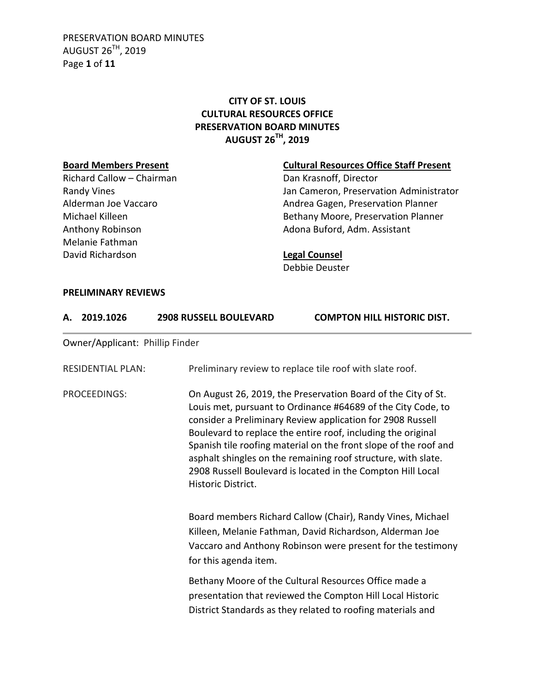PRESERVATION BOARD MINUTES AUGUST 26TH, 2019 Page **1** of **11**

# **CITY OF ST. LOUIS CULTURAL RESOURCES OFFICE PRESERVATION BOARD MINUTES AUGUST 26TH, 2019**

Richard Callow – Chairman Dan Krasnoff, Director Melanie Fathman David Richardson **Legal Counsel**

# **Board Members Present Cultural Resources Office Staff Present**

Randy Vines **National Community Community** Jan Cameron, Preservation Administrator Alderman Joe Vaccaro **Andrea Gagen, Preservation Planner** Michael Killeen **Bethany Moore, Preservation Planner** Anthony Robinson **Adona Buford, Adm. Assistant** 

Debbie Deuster

### **PRELIMINARY REVIEWS**

| А.           | 2019.1026                       | <b>2908 RUSSELL BOULEVARD</b> | <b>COMPTON HILL HISTORIC DIST.</b>                                                                                                                                                                                                                                                                                                                                                                                                                              |  |
|--------------|---------------------------------|-------------------------------|-----------------------------------------------------------------------------------------------------------------------------------------------------------------------------------------------------------------------------------------------------------------------------------------------------------------------------------------------------------------------------------------------------------------------------------------------------------------|--|
|              | Owner/Applicant: Phillip Finder |                               |                                                                                                                                                                                                                                                                                                                                                                                                                                                                 |  |
|              | <b>RESIDENTIAL PLAN:</b>        |                               | Preliminary review to replace tile roof with slate roof.                                                                                                                                                                                                                                                                                                                                                                                                        |  |
| PROCEEDINGS: |                                 | Historic District.            | On August 26, 2019, the Preservation Board of the City of St.<br>Louis met, pursuant to Ordinance #64689 of the City Code, to<br>consider a Preliminary Review application for 2908 Russell<br>Boulevard to replace the entire roof, including the original<br>Spanish tile roofing material on the front slope of the roof and<br>asphalt shingles on the remaining roof structure, with slate.<br>2908 Russell Boulevard is located in the Compton Hill Local |  |
|              |                                 | for this agenda item.         | Board members Richard Callow (Chair), Randy Vines, Michael<br>Killeen, Melanie Fathman, David Richardson, Alderman Joe<br>Vaccaro and Anthony Robinson were present for the testimony                                                                                                                                                                                                                                                                           |  |
|              |                                 |                               | Bethany Moore of the Cultural Resources Office made a<br>presentation that reviewed the Compton Hill Local Historic<br>District Standards as they related to roofing materials and                                                                                                                                                                                                                                                                              |  |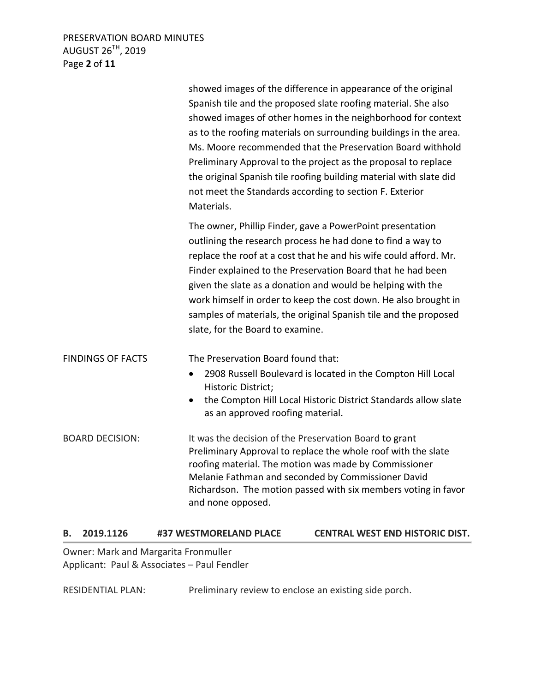# PRESERVATION BOARD MINUTES AUGUST 26TH, 2019 Page **2** of **11**

|                          | showed images of the difference in appearance of the original<br>Spanish tile and the proposed slate roofing material. She also<br>showed images of other homes in the neighborhood for context<br>as to the roofing materials on surrounding buildings in the area.<br>Ms. Moore recommended that the Preservation Board withhold<br>Preliminary Approval to the project as the proposal to replace<br>the original Spanish tile roofing building material with slate did<br>not meet the Standards according to section F. Exterior<br>Materials. |
|--------------------------|-----------------------------------------------------------------------------------------------------------------------------------------------------------------------------------------------------------------------------------------------------------------------------------------------------------------------------------------------------------------------------------------------------------------------------------------------------------------------------------------------------------------------------------------------------|
|                          | The owner, Phillip Finder, gave a PowerPoint presentation<br>outlining the research process he had done to find a way to<br>replace the roof at a cost that he and his wife could afford. Mr.<br>Finder explained to the Preservation Board that he had been<br>given the slate as a donation and would be helping with the<br>work himself in order to keep the cost down. He also brought in<br>samples of materials, the original Spanish tile and the proposed<br>slate, for the Board to examine.                                              |
| <b>FINDINGS OF FACTS</b> | The Preservation Board found that:<br>2908 Russell Boulevard is located in the Compton Hill Local<br>$\bullet$<br>Historic District;<br>the Compton Hill Local Historic District Standards allow slate<br>as an approved roofing material.                                                                                                                                                                                                                                                                                                          |
| <b>BOARD DECISION:</b>   | It was the decision of the Preservation Board to grant<br>Preliminary Approval to replace the whole roof with the slate<br>roofing material. The motion was made by Commissioner<br>Melanie Fathman and seconded by Commissioner David<br>Richardson. The motion passed with six members voting in favor<br>and none opposed.                                                                                                                                                                                                                       |

## **B. 2019.1126 #37 WESTMORELAND PLACE CENTRAL WEST END HISTORIC DIST.**

Owner: Mark and Margarita Fronmuller Applicant: Paul & Associates – Paul Fendler

RESIDENTIAL PLAN: Preliminary review to enclose an existing side porch.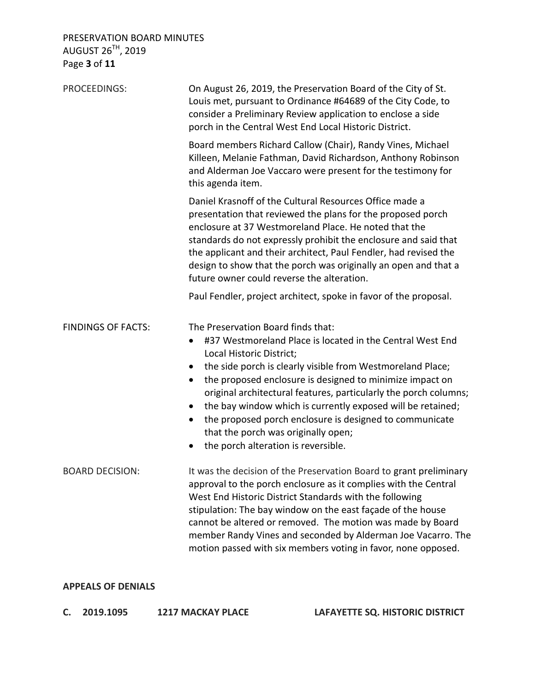PRESERVATION BOARD MINUTES AUGUST 26<sup>TH</sup>, 2019 Page **3** of **11**

| PROCEEDINGS:              | On August 26, 2019, the Preservation Board of the City of St.<br>Louis met, pursuant to Ordinance #64689 of the City Code, to<br>consider a Preliminary Review application to enclose a side<br>porch in the Central West End Local Historic District.                                                                                                                                                                                                                                                                                                                   |  |  |
|---------------------------|--------------------------------------------------------------------------------------------------------------------------------------------------------------------------------------------------------------------------------------------------------------------------------------------------------------------------------------------------------------------------------------------------------------------------------------------------------------------------------------------------------------------------------------------------------------------------|--|--|
|                           | Board members Richard Callow (Chair), Randy Vines, Michael<br>Killeen, Melanie Fathman, David Richardson, Anthony Robinson<br>and Alderman Joe Vaccaro were present for the testimony for<br>this agenda item.                                                                                                                                                                                                                                                                                                                                                           |  |  |
|                           | Daniel Krasnoff of the Cultural Resources Office made a<br>presentation that reviewed the plans for the proposed porch<br>enclosure at 37 Westmoreland Place. He noted that the<br>standards do not expressly prohibit the enclosure and said that<br>the applicant and their architect, Paul Fendler, had revised the<br>design to show that the porch was originally an open and that a<br>future owner could reverse the alteration.                                                                                                                                  |  |  |
|                           | Paul Fendler, project architect, spoke in favor of the proposal.                                                                                                                                                                                                                                                                                                                                                                                                                                                                                                         |  |  |
| <b>FINDINGS OF FACTS:</b> | The Preservation Board finds that:<br>#37 Westmoreland Place is located in the Central West End<br>$\bullet$<br>Local Historic District;<br>the side porch is clearly visible from Westmoreland Place;<br>$\bullet$<br>the proposed enclosure is designed to minimize impact on<br>$\bullet$<br>original architectural features, particularly the porch columns;<br>the bay window which is currently exposed will be retained;<br>the proposed porch enclosure is designed to communicate<br>that the porch was originally open;<br>the porch alteration is reversible. |  |  |
| <b>BOARD DECISION:</b>    | It was the decision of the Preservation Board to grant preliminary<br>approval to the porch enclosure as it complies with the Central<br>West End Historic District Standards with the following<br>stipulation: The bay window on the east façade of the house<br>cannot be altered or removed. The motion was made by Board<br>member Randy Vines and seconded by Alderman Joe Vacarro. The<br>motion passed with six members voting in favor, none opposed.                                                                                                           |  |  |

## **APPEALS OF DENIALS**

**C. 2019.1095 1217 MACKAY PLACE LAFAYETTE SQ. HISTORIC DISTRICT**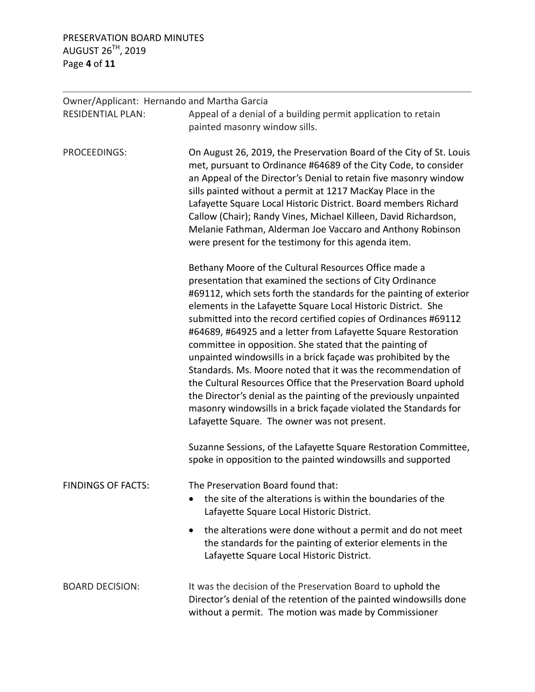# PRESERVATION BOARD MINUTES AUGUST 26 $^{\textsf{TH}}$ , 2019 Page **4** of **11**

| Owner/Applicant: Hernando and Martha Garcia |                                                                                                                                                                                                                                                                                                                                                                                                                                                                                                                                                                                                                                                                                                                                                                                                                                                          |  |  |
|---------------------------------------------|----------------------------------------------------------------------------------------------------------------------------------------------------------------------------------------------------------------------------------------------------------------------------------------------------------------------------------------------------------------------------------------------------------------------------------------------------------------------------------------------------------------------------------------------------------------------------------------------------------------------------------------------------------------------------------------------------------------------------------------------------------------------------------------------------------------------------------------------------------|--|--|
| <b>RESIDENTIAL PLAN:</b>                    | Appeal of a denial of a building permit application to retain                                                                                                                                                                                                                                                                                                                                                                                                                                                                                                                                                                                                                                                                                                                                                                                            |  |  |
|                                             | painted masonry window sills.                                                                                                                                                                                                                                                                                                                                                                                                                                                                                                                                                                                                                                                                                                                                                                                                                            |  |  |
| PROCEEDINGS:                                | On August 26, 2019, the Preservation Board of the City of St. Louis<br>met, pursuant to Ordinance #64689 of the City Code, to consider<br>an Appeal of the Director's Denial to retain five masonry window<br>sills painted without a permit at 1217 MacKay Place in the<br>Lafayette Square Local Historic District. Board members Richard<br>Callow (Chair); Randy Vines, Michael Killeen, David Richardson,<br>Melanie Fathman, Alderman Joe Vaccaro and Anthony Robinson<br>were present for the testimony for this agenda item.                                                                                                                                                                                                                                                                                                                     |  |  |
|                                             | Bethany Moore of the Cultural Resources Office made a<br>presentation that examined the sections of City Ordinance<br>#69112, which sets forth the standards for the painting of exterior<br>elements in the Lafayette Square Local Historic District. She<br>submitted into the record certified copies of Ordinances #69112<br>#64689, #64925 and a letter from Lafayette Square Restoration<br>committee in opposition. She stated that the painting of<br>unpainted windowsills in a brick façade was prohibited by the<br>Standards. Ms. Moore noted that it was the recommendation of<br>the Cultural Resources Office that the Preservation Board uphold<br>the Director's denial as the painting of the previously unpainted<br>masonry windowsills in a brick façade violated the Standards for<br>Lafayette Square. The owner was not present. |  |  |
|                                             | Suzanne Sessions, of the Lafayette Square Restoration Committee,<br>spoke in opposition to the painted windowsills and supported                                                                                                                                                                                                                                                                                                                                                                                                                                                                                                                                                                                                                                                                                                                         |  |  |
| <b>FINDINGS OF FACTS:</b>                   | The Preservation Board found that:<br>the site of the alterations is within the boundaries of the<br>Lafayette Square Local Historic District.                                                                                                                                                                                                                                                                                                                                                                                                                                                                                                                                                                                                                                                                                                           |  |  |
|                                             | the alterations were done without a permit and do not meet<br>٠<br>the standards for the painting of exterior elements in the<br>Lafayette Square Local Historic District.                                                                                                                                                                                                                                                                                                                                                                                                                                                                                                                                                                                                                                                                               |  |  |
| <b>BOARD DECISION:</b>                      | It was the decision of the Preservation Board to uphold the<br>Director's denial of the retention of the painted windowsills done<br>without a permit. The motion was made by Commissioner                                                                                                                                                                                                                                                                                                                                                                                                                                                                                                                                                                                                                                                               |  |  |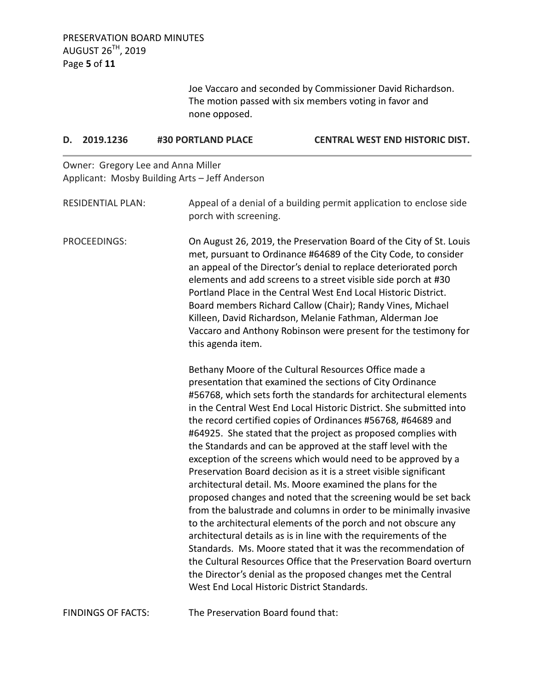Joe Vaccaro and seconded by Commissioner David Richardson. The motion passed with six members voting in favor and none opposed.

### **D. 2019.1236 #30 PORTLAND PLACE CENTRAL WEST END HISTORIC DIST.**

Owner: Gregory Lee and Anna Miller Applicant: Mosby Building Arts – Jeff Anderson

| <b>RESIDENTIAL PLAN:</b> | Appeal of a denial of a building permit application to enclose side<br>porch with screening.                                                                                                                                                                                                                                                                                                                                                                                                                                                                                                                                                                                                                                                                                                                                                                                                                                                                                                                                                                                                                                                                                                              |
|--------------------------|-----------------------------------------------------------------------------------------------------------------------------------------------------------------------------------------------------------------------------------------------------------------------------------------------------------------------------------------------------------------------------------------------------------------------------------------------------------------------------------------------------------------------------------------------------------------------------------------------------------------------------------------------------------------------------------------------------------------------------------------------------------------------------------------------------------------------------------------------------------------------------------------------------------------------------------------------------------------------------------------------------------------------------------------------------------------------------------------------------------------------------------------------------------------------------------------------------------|
| PROCEEDINGS:             | On August 26, 2019, the Preservation Board of the City of St. Louis<br>met, pursuant to Ordinance #64689 of the City Code, to consider<br>an appeal of the Director's denial to replace deteriorated porch<br>elements and add screens to a street visible side porch at #30<br>Portland Place in the Central West End Local Historic District.<br>Board members Richard Callow (Chair); Randy Vines, Michael<br>Killeen, David Richardson, Melanie Fathman, Alderman Joe<br>Vaccaro and Anthony Robinson were present for the testimony for<br>this agenda item.                                                                                                                                                                                                                                                                                                                                                                                                                                                                                                                                                                                                                                         |
|                          | Bethany Moore of the Cultural Resources Office made a<br>presentation that examined the sections of City Ordinance<br>#56768, which sets forth the standards for architectural elements<br>in the Central West End Local Historic District. She submitted into<br>the record certified copies of Ordinances #56768, #64689 and<br>#64925. She stated that the project as proposed complies with<br>the Standards and can be approved at the staff level with the<br>exception of the screens which would need to be approved by a<br>Preservation Board decision as it is a street visible significant<br>architectural detail. Ms. Moore examined the plans for the<br>proposed changes and noted that the screening would be set back<br>from the balustrade and columns in order to be minimally invasive<br>to the architectural elements of the porch and not obscure any<br>architectural details as is in line with the requirements of the<br>Standards. Ms. Moore stated that it was the recommendation of<br>the Cultural Resources Office that the Preservation Board overturn<br>the Director's denial as the proposed changes met the Central<br>West End Local Historic District Standards. |

FINDINGS OF FACTS: The Preservation Board found that: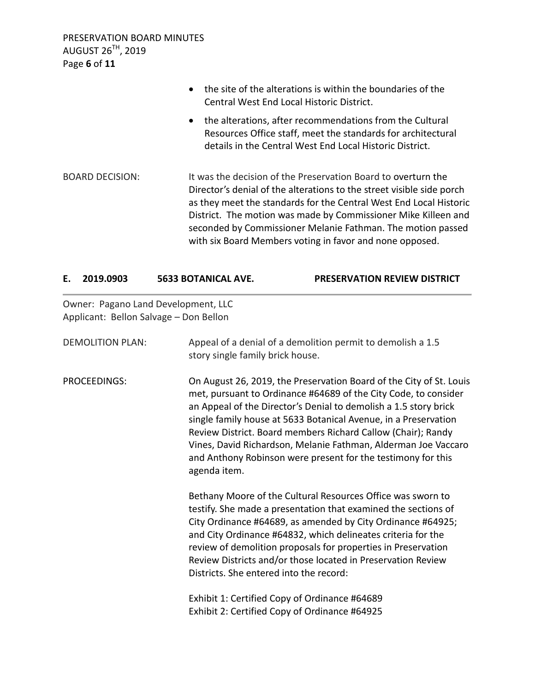PRESERVATION BOARD MINUTES AUGUST 26<sup>TH</sup>, 2019 Page **6** of **11**

|                        | the site of the alterations is within the boundaries of the<br>$\bullet$<br>Central West End Local Historic District.                                                                                                                                                                                                                                                                                     |
|------------------------|-----------------------------------------------------------------------------------------------------------------------------------------------------------------------------------------------------------------------------------------------------------------------------------------------------------------------------------------------------------------------------------------------------------|
|                        | the alterations, after recommendations from the Cultural<br>$\bullet$<br>Resources Office staff, meet the standards for architectural<br>details in the Central West End Local Historic District.                                                                                                                                                                                                         |
| <b>BOARD DECISION:</b> | It was the decision of the Preservation Board to overturn the<br>Director's denial of the alterations to the street visible side porch<br>as they meet the standards for the Central West End Local Historic<br>District. The motion was made by Commissioner Mike Killeen and<br>seconded by Commissioner Melanie Fathman. The motion passed<br>with six Board Members voting in favor and none opposed. |

|  | 2019.0903 | <b>5633 BOTANICAL AVE.</b> | <b>PRESERVATION REVIEW DISTRICT</b> |
|--|-----------|----------------------------|-------------------------------------|
|--|-----------|----------------------------|-------------------------------------|

Owner: Pagano Land Development, LLC Applicant: Bellon Salvage – Don Bellon

| <b>DEMOLITION PLAN:</b> | Appeal of a denial of a demolition permit to demolish a 1.5<br>story single family brick house.                                                                                                                                                                                                                                                                                                                                                                                                 |
|-------------------------|-------------------------------------------------------------------------------------------------------------------------------------------------------------------------------------------------------------------------------------------------------------------------------------------------------------------------------------------------------------------------------------------------------------------------------------------------------------------------------------------------|
| PROCEEDINGS:            | On August 26, 2019, the Preservation Board of the City of St. Louis<br>met, pursuant to Ordinance #64689 of the City Code, to consider<br>an Appeal of the Director's Denial to demolish a 1.5 story brick<br>single family house at 5633 Botanical Avenue, in a Preservation<br>Review District. Board members Richard Callow (Chair); Randy<br>Vines, David Richardson, Melanie Fathman, Alderman Joe Vaccaro<br>and Anthony Robinson were present for the testimony for this<br>agenda item. |
|                         | Bethany Moore of the Cultural Resources Office was sworn to<br>testify. She made a presentation that examined the sections of<br>City Ordinance #64689, as amended by City Ordinance #64925;<br>and City Ordinance #64832, which delineates criteria for the<br>review of demolition proposals for properties in Preservation<br>Review Districts and/or those located in Preservation Review<br>Districts. She entered into the record:                                                        |
|                         | Exhibit 1: Certified Copy of Ordinance #64689<br>Exhibit 2: Certified Copy of Ordinance #64925                                                                                                                                                                                                                                                                                                                                                                                                  |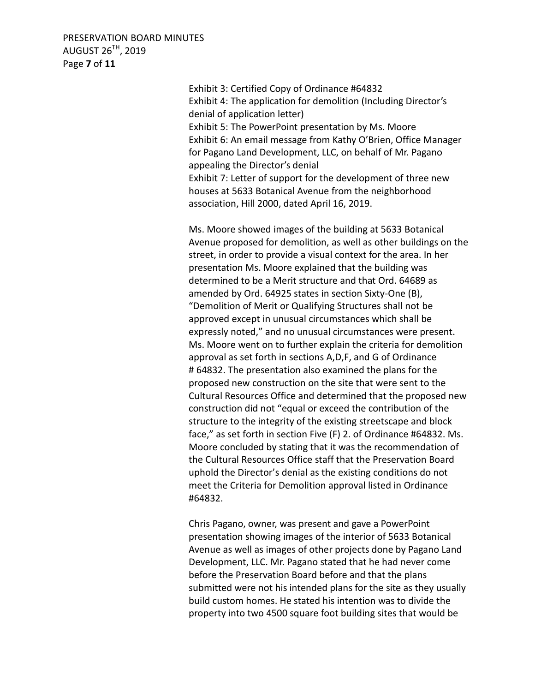PRESERVATION BOARD MINUTES AUGUST 26TH, 2019 Page **7** of **11**

> Exhibit 3: Certified Copy of Ordinance #64832 Exhibit 4: The application for demolition (Including Director's denial of application letter) Exhibit 5: The PowerPoint presentation by Ms. Moore Exhibit 6: An email message from Kathy O'Brien, Office Manager for Pagano Land Development, LLC, on behalf of Mr. Pagano appealing the Director's denial Exhibit 7: Letter of support for the development of three new houses at 5633 Botanical Avenue from the neighborhood association, Hill 2000, dated April 16, 2019.

Ms. Moore showed images of the building at 5633 Botanical Avenue proposed for demolition, as well as other buildings on the street, in order to provide a visual context for the area. In her presentation Ms. Moore explained that the building was determined to be a Merit structure and that Ord. 64689 as amended by Ord. 64925 states in section Sixty-One (B), "Demolition of Merit or Qualifying Structures shall not be approved except in unusual circumstances which shall be expressly noted," and no unusual circumstances were present. Ms. Moore went on to further explain the criteria for demolition approval as set forth in sections A,D,F, and G of Ordinance # 64832. The presentation also examined the plans for the proposed new construction on the site that were sent to the Cultural Resources Office and determined that the proposed new construction did not "equal or exceed the contribution of the structure to the integrity of the existing streetscape and block face," as set forth in section Five (F) 2. of Ordinance #64832. Ms. Moore concluded by stating that it was the recommendation of the Cultural Resources Office staff that the Preservation Board uphold the Director's denial as the existing conditions do not meet the Criteria for Demolition approval listed in Ordinance #64832.

Chris Pagano, owner, was present and gave a PowerPoint presentation showing images of the interior of 5633 Botanical Avenue as well as images of other projects done by Pagano Land Development, LLC. Mr. Pagano stated that he had never come before the Preservation Board before and that the plans submitted were not his intended plans for the site as they usually build custom homes. He stated his intention was to divide the property into two 4500 square foot building sites that would be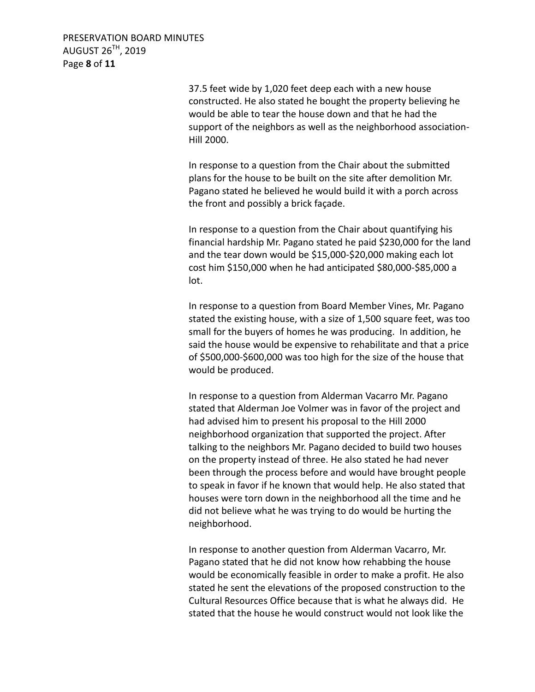PRESERVATION BOARD MINUTES AUGUST 26TH, 2019 Page **8** of **11**

> 37.5 feet wide by 1,020 feet deep each with a new house constructed. He also stated he bought the property believing he would be able to tear the house down and that he had the support of the neighbors as well as the neighborhood association-Hill 2000.

In response to a question from the Chair about the submitted plans for the house to be built on the site after demolition Mr. Pagano stated he believed he would build it with a porch across the front and possibly a brick façade.

In response to a question from the Chair about quantifying his financial hardship Mr. Pagano stated he paid \$230,000 for the land and the tear down would be \$15,000-\$20,000 making each lot cost him \$150,000 when he had anticipated \$80,000-\$85,000 a lot.

In response to a question from Board Member Vines, Mr. Pagano stated the existing house, with a size of 1,500 square feet, was too small for the buyers of homes he was producing. In addition, he said the house would be expensive to rehabilitate and that a price of \$500,000-\$600,000 was too high for the size of the house that would be produced.

In response to a question from Alderman Vacarro Mr. Pagano stated that Alderman Joe Volmer was in favor of the project and had advised him to present his proposal to the Hill 2000 neighborhood organization that supported the project. After talking to the neighbors Mr. Pagano decided to build two houses on the property instead of three. He also stated he had never been through the process before and would have brought people to speak in favor if he known that would help. He also stated that houses were torn down in the neighborhood all the time and he did not believe what he was trying to do would be hurting the neighborhood.

In response to another question from Alderman Vacarro, Mr. Pagano stated that he did not know how rehabbing the house would be economically feasible in order to make a profit. He also stated he sent the elevations of the proposed construction to the Cultural Resources Office because that is what he always did. He stated that the house he would construct would not look like the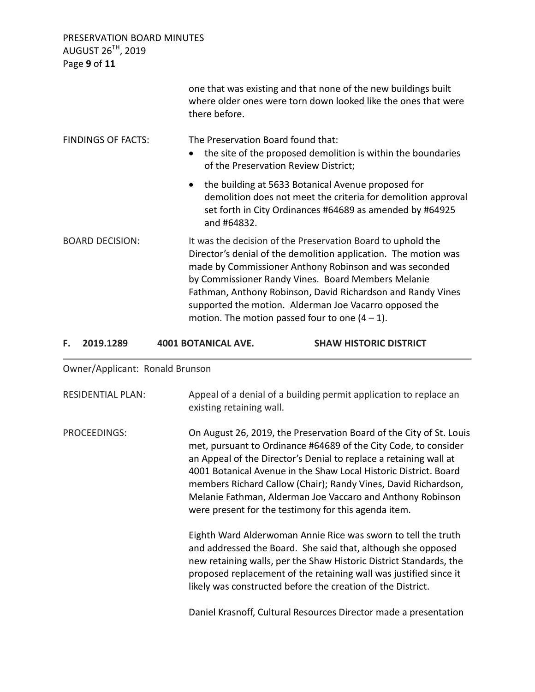PRESERVATION BOARD MINUTES AUGUST 26 $^{\textsf{TH}}$ , 2019

| F.<br>2019.1289           | <b>4001 BOTANICAL AVE.</b> | <b>SHAW HISTORIC DISTRICT</b>                                                                                                                                                                                                                                                                                                                                                                                                |
|---------------------------|----------------------------|------------------------------------------------------------------------------------------------------------------------------------------------------------------------------------------------------------------------------------------------------------------------------------------------------------------------------------------------------------------------------------------------------------------------------|
| <b>BOARD DECISION:</b>    |                            | It was the decision of the Preservation Board to uphold the<br>Director's denial of the demolition application. The motion was<br>made by Commissioner Anthony Robinson and was seconded<br>by Commissioner Randy Vines. Board Members Melanie<br>Fathman, Anthony Robinson, David Richardson and Randy Vines<br>supported the motion. Alderman Joe Vacarro opposed the<br>motion. The motion passed four to one $(4 - 1)$ . |
|                           | $\bullet$                  | the building at 5633 Botanical Avenue proposed for<br>demolition does not meet the criteria for demolition approval<br>set forth in City Ordinances #64689 as amended by #64925<br>and #64832.                                                                                                                                                                                                                               |
| <b>FINDINGS OF FACTS:</b> |                            | The Preservation Board found that:<br>the site of the proposed demolition is within the boundaries<br>of the Preservation Review District;                                                                                                                                                                                                                                                                                   |
|                           |                            | one that was existing and that none of the new buildings built<br>where older ones were torn down looked like the ones that were<br>there before.                                                                                                                                                                                                                                                                            |

Owner/Applicant: Ronald Brunson

| <b>RESIDENTIAL PLAN:</b> | Appeal of a denial of a building permit application to replace an<br>existing retaining wall.                                                                                                                                                                                                                                                                                                                                                                           |
|--------------------------|-------------------------------------------------------------------------------------------------------------------------------------------------------------------------------------------------------------------------------------------------------------------------------------------------------------------------------------------------------------------------------------------------------------------------------------------------------------------------|
| PROCEEDINGS:             | On August 26, 2019, the Preservation Board of the City of St. Louis<br>met, pursuant to Ordinance #64689 of the City Code, to consider<br>an Appeal of the Director's Denial to replace a retaining wall at<br>4001 Botanical Avenue in the Shaw Local Historic District. Board<br>members Richard Callow (Chair); Randy Vines, David Richardson,<br>Melanie Fathman, Alderman Joe Vaccaro and Anthony Robinson<br>were present for the testimony for this agenda item. |
|                          | Eighth Ward Alderwoman Annie Rice was sworn to tell the truth<br>and addressed the Board. She said that, although she opposed<br>new retaining walls, per the Shaw Historic District Standards, the<br>proposed replacement of the retaining wall was justified since it<br>likely was constructed before the creation of the District.                                                                                                                                 |
|                          | Daniel Krasnoff, Cultural Resources Director made a presentation                                                                                                                                                                                                                                                                                                                                                                                                        |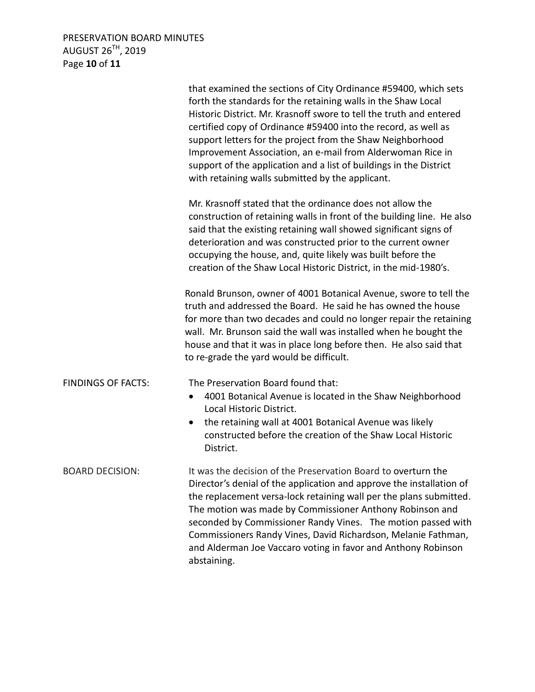# PRESERVATION BOARD MINUTES AUGUST 26 $^{\textsf{TH}}$ , 2019 Page **10** of **11**

|                           | that examined the sections of City Ordinance #59400, which sets<br>forth the standards for the retaining walls in the Shaw Local<br>Historic District. Mr. Krasnoff swore to tell the truth and entered<br>certified copy of Ordinance #59400 into the record, as well as<br>support letters for the project from the Shaw Neighborhood<br>Improvement Association, an e-mail from Alderwoman Rice in<br>support of the application and a list of buildings in the District<br>with retaining walls submitted by the applicant. |
|---------------------------|---------------------------------------------------------------------------------------------------------------------------------------------------------------------------------------------------------------------------------------------------------------------------------------------------------------------------------------------------------------------------------------------------------------------------------------------------------------------------------------------------------------------------------|
|                           | Mr. Krasnoff stated that the ordinance does not allow the<br>construction of retaining walls in front of the building line. He also<br>said that the existing retaining wall showed significant signs of<br>deterioration and was constructed prior to the current owner<br>occupying the house, and, quite likely was built before the<br>creation of the Shaw Local Historic District, in the mid-1980's.                                                                                                                     |
|                           | Ronald Brunson, owner of 4001 Botanical Avenue, swore to tell the<br>truth and addressed the Board. He said he has owned the house<br>for more than two decades and could no longer repair the retaining<br>wall. Mr. Brunson said the wall was installed when he bought the<br>house and that it was in place long before then. He also said that<br>to re-grade the yard would be difficult.                                                                                                                                  |
| <b>FINDINGS OF FACTS:</b> | The Preservation Board found that:<br>4001 Botanical Avenue is located in the Shaw Neighborhood<br>$\bullet$<br>Local Historic District.<br>the retaining wall at 4001 Botanical Avenue was likely<br>$\bullet$<br>constructed before the creation of the Shaw Local Historic<br>District.                                                                                                                                                                                                                                      |
| <b>BOARD DECISION:</b>    | It was the decision of the Preservation Board to overturn the<br>Director's denial of the application and approve the installation of<br>the replacement versa-lock retaining wall per the plans submitted.<br>The motion was made by Commissioner Anthony Robinson and<br>seconded by Commissioner Randy Vines. The motion passed with<br>Commissioners Randy Vines, David Richardson, Melanie Fathman,<br>and Alderman Joe Vaccaro voting in favor and Anthony Robinson<br>abstaining.                                        |